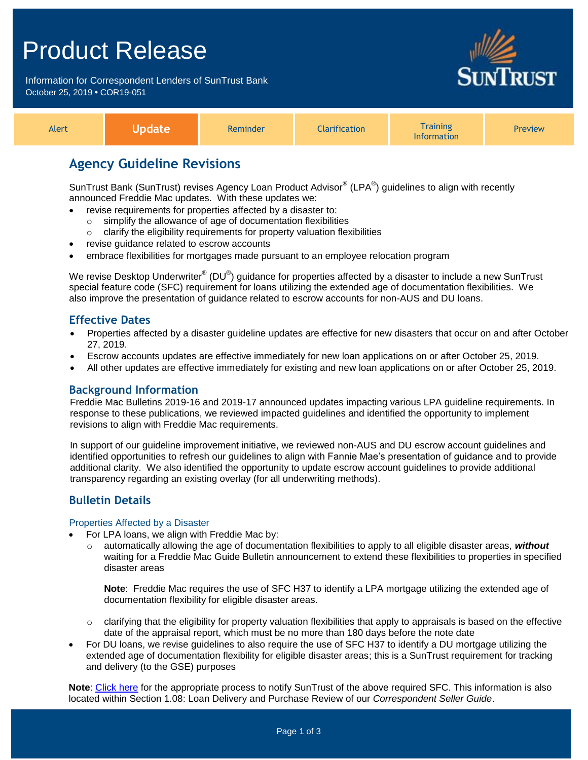# Product Release

Information for Correspondent Lenders of SunTrust Bank October 25, 2019 **•** COR19-051



| Alert |  | <b>Reminder</b> | <b>Elarification</b> | <b>Training</b><br><b>'nformation'</b> | Preview |
|-------|--|-----------------|----------------------|----------------------------------------|---------|
|-------|--|-----------------|----------------------|----------------------------------------|---------|

# **Agency Guideline Revisions**

SunTrust Bank (SunTrust) revises Agency Loan Product Advisor® (LPA®) guidelines to align with recently announced Freddie Mac updates. With these updates we:

- revise requirements for properties affected by a disaster to:
	- simplify the allowance of age of documentation flexibilities
	- $\circ$  clarify the eligibility requirements for property valuation flexibilities
- revise guidance related to escrow accounts
- embrace flexibilities for mortgages made pursuant to an employee relocation program

We revise Desktop Underwriter $^{\circ\!\circ}$  (DU $^{\circ\!\circ}$ ) guidance for properties affected by a disaster to include a new SunTrust special feature code (SFC) requirement for loans utilizing the extended age of documentation flexibilities. We also improve the presentation of guidance related to escrow accounts for non-AUS and DU loans.

### **Effective Dates**

- Properties affected by a disaster guideline updates are effective for new disasters that occur on and after October 27, 2019.
- Escrow accounts updates are effective immediately for new loan applications on or after October 25, 2019.
- All other updates are effective immediately for existing and new loan applications on or after October 25, 2019.

#### **Background Information**

Freddie Mac Bulletins 2019-16 and 2019-17 announced updates impacting various LPA guideline requirements. In response to these publications, we reviewed impacted guidelines and identified the opportunity to implement revisions to align with Freddie Mac requirements.

In support of our guideline improvement initiative, we reviewed non-AUS and DU escrow account guidelines and identified opportunities to refresh our guidelines to align with Fannie Mae's presentation of guidance and to provide additional clarity. We also identified the opportunity to update escrow account guidelines to provide additional transparency regarding an existing overlay (for all underwriting methods).

## **Bulletin Details**

#### Properties Affected by a Disaster

- For LPA loans, we align with Freddie Mac by:
	- o automatically allowing the age of documentation flexibilities to apply to all eligible disaster areas, *without* waiting for a Freddie Mac Guide Bulletin announcement to extend these flexibilities to properties in specified disaster areas

**Note**: Freddie Mac requires the use of SFC H37 to identify a LPA mortgage utilizing the extended age of documentation flexibility for eligible disaster areas.

- $\circ$  clarifying that the eligibility for property valuation flexibilities that apply to appraisals is based on the effective date of the appraisal report, which must be no more than 180 days before the note date
- For DU loans, we revise guidelines to also require the use of SFC H37 to identify a DU mortgage utilizing the extended age of documentation flexibility for eligible disaster areas; this is a SunTrust requirement for tracking and delivery (to the GSE) purposes

**Note**: [Click here](https://www.truistsellerguide.com/manual/cor/general/Instructions%20for%20Entering%20SFCs.pdf) for the appropriate process to notify SunTrust of the above required SFC. This information is also located within Section 1.08: Loan Delivery and Purchase Review of our *Correspondent Seller Guide*.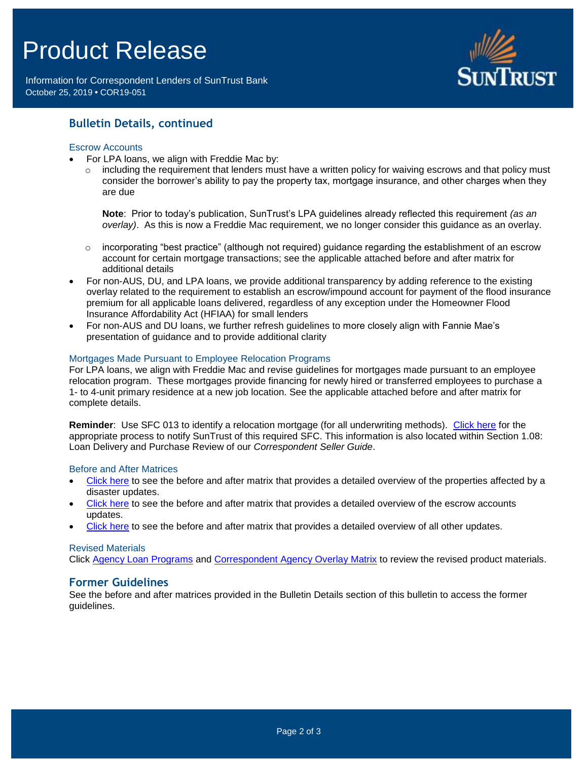# Product Release

Information for Correspondent Lenders of SunTrust Bank October 25, 2019 **•** COR19-051



### **Bulletin Details, continued**

#### Escrow Accounts

- For LPA loans, we align with Freddie Mac by:
	- including the requirement that lenders must have a written policy for waiving escrows and that policy must consider the borrower's ability to pay the property tax, mortgage insurance, and other charges when they are due

**Note**: Prior to today's publication, SunTrust's LPA guidelines already reflected this requirement *(as an overlay)*. As this is now a Freddie Mac requirement, we no longer consider this guidance as an overlay.

- o incorporating "best practice" (although not required) guidance regarding the establishment of an escrow account for certain mortgage transactions; see the applicable attached before and after matrix for additional details
- For non-AUS, DU, and LPA loans, we provide additional transparency by adding reference to the existing overlay related to the requirement to establish an escrow/impound account for payment of the flood insurance premium for all applicable loans delivered, regardless of any exception under the Homeowner Flood Insurance Affordability Act (HFIAA) for small lenders
- For non-AUS and DU loans, we further refresh guidelines to more closely align with Fannie Mae's presentation of guidance and to provide additional clarity

#### Mortgages Made Pursuant to Employee Relocation Programs

For LPA loans, we align with Freddie Mac and revise guidelines for mortgages made pursuant to an employee relocation program. These mortgages provide financing for newly hired or transferred employees to purchase a 1- to 4-unit primary residence at a new job location. See the applicable attached before and after matrix for complete details.

**Reminder**: Use SFC 013 to identify a relocation mortgage (for all underwriting methods). [Click here](https://www.truistsellerguide.com/manual/cor/general/Instructions%20for%20Entering%20SFCs.pdf) for the appropriate process to notify SunTrust of this required SFC. This information is also located within Section 1.08: Loan Delivery and Purchase Review of our *Correspondent Seller Guide*.

#### Before and After Matrices

- [Click here](http://www.truistsellerguide.com/manual/cor/products/Cr19-051BA-Disaster.pdf) to see the before and after matrix that provides a detailed overview of the properties affected by a disaster updates.
- [Click here](http://www.truistsellerguide.com/manual/cor/products/Cr19-051BA-New.pdf) to see the before and after matrix that provides a detailed overview of the escrow accounts updates.
- [Click here](http://www.truistsellerguide.com/manual/cor/products/Cr19-051BA-NewandExist.pdf) to see the before and after matrix that provides a detailed overview of all other updates.

#### Revised Materials

Click [Agency Loan Programs](https://www.truistsellerguide.com/manual/cor/products/CAgency.pdf) and [Correspondent Agency Overlay Matrix](https://www.truistsellerguide.com/manual/cor/products/CAgencyCreditOverlays.pdf) to review the revised product materials.

#### **Former Guidelines**

See the before and after matrices provided in the Bulletin Details section of this bulletin to access the former guidelines.